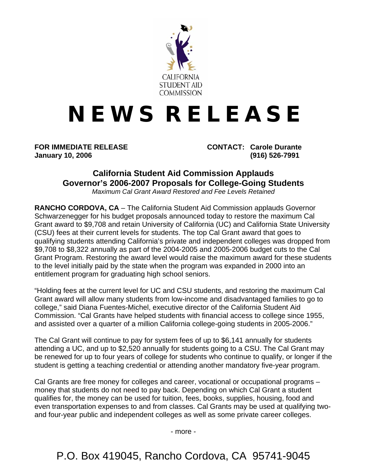

## **N E W S R E L E A S E**

**January 10, 2006 (916) 526-7991** 

**FOR IMMEDIATE RELEASE CONTACT: Carole Durante** 

## **California Student Aid Commission Applauds Governor's 2006-2007 Proposals for College-Going Students**

*Maximum Cal Grant Award Restored and Fee Levels Retained* 

**RANCHO CORDOVA, CA** – The California Student Aid Commission applauds Governor Schwarzenegger for his budget proposals announced today to restore the maximum Cal Grant award to \$9,708 and retain University of California (UC) and California State University (CSU) fees at their current levels for students. The top Cal Grant award that goes to qualifying students attending California's private and independent colleges was dropped from \$9,708 to \$8,322 annually as part of the 2004-2005 and 2005-2006 budget cuts to the Cal Grant Program. Restoring the award level would raise the maximum award for these students to the level initially paid by the state when the program was expanded in 2000 into an entitlement program for graduating high school seniors.

"Holding fees at the current level for UC and CSU students, and restoring the maximum Cal Grant award will allow many students from low-income and disadvantaged families to go to college," said Diana Fuentes-Michel, executive director of the California Student Aid Commission. "Cal Grants have helped students with financial access to college since 1955, and assisted over a quarter of a million California college-going students in 2005-2006."

The Cal Grant will continue to pay for system fees of up to \$6,141 annually for students attending a UC, and up to \$2,520 annually for students going to a CSU. The Cal Grant may be renewed for up to four years of college for students who continue to qualify, or longer if the student is getting a teaching credential or attending another mandatory five-year program.

Cal Grants are free money for colleges and career, vocational or occupational programs – money that students do not need to pay back. Depending on which Cal Grant a student qualifies for, the money can be used for tuition, fees, books, supplies, housing, food and even transportation expenses to and from classes. Cal Grants may be used at qualifying twoand four-year public and independent colleges as well as some private career colleges.

- more -

P.O. Box 419045, Rancho Cordova, CA 95741-9045